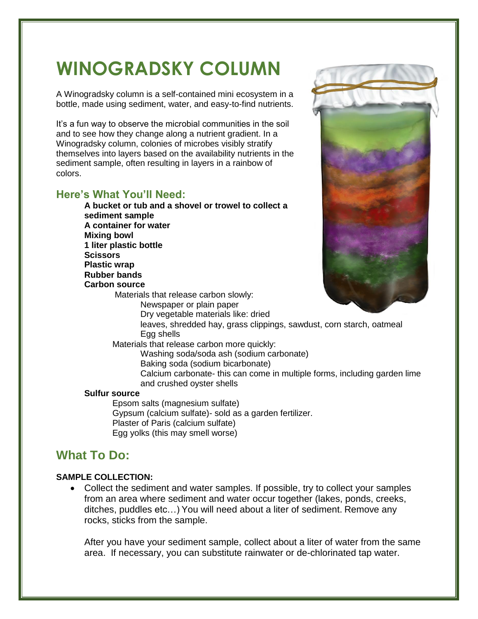# **WINOGRADSKY COLUMN**

A Winogradsky column is a self-contained mini ecosystem in a bottle, made using sediment, water, and easy-to-find nutrients.

It's a fun way to observe the microbial communities in the soil and to see how they change along a nutrient gradient. In a Winogradsky column, colonies of microbes visibly stratify themselves into layers based on the availability nutrients in the sediment sample, often resulting in layers in a rainbow of colors.

## **Here's What You'll Need:**

**A bucket or tub and a shovel or trowel to collect a sediment sample A container for water Mixing bowl 1 liter plastic bottle Scissors Plastic wrap Rubber bands Carbon source** Materials that release carbon slowly: Newspaper or plain paper Dry vegetable materials like: dried



leaves, shredded hay, grass clippings, sawdust, corn starch, oatmeal Egg shells

Materials that release carbon more quickly:

Washing soda/soda ash (sodium carbonate)

Baking soda (sodium bicarbonate)

Calcium carbonate- this can come in multiple forms, including garden lime and crushed oyster shells

#### **Sulfur source**

Epsom salts (magnesium sulfate) Gypsum (calcium sulfate)- sold as a garden fertilizer. Plaster of Paris (calcium sulfate) Egg yolks (this may smell worse)

## **What To Do:**

#### **SAMPLE COLLECTION:**

 Collect the sediment and water samples. If possible, try to collect your samples from an area where sediment and water occur together (lakes, ponds, creeks, ditches, puddles etc…) You will need about a liter of sediment. Remove any rocks, sticks from the sample.

After you have your sediment sample, collect about a liter of water from the same area. If necessary, you can substitute rainwater or de-chlorinated tap water.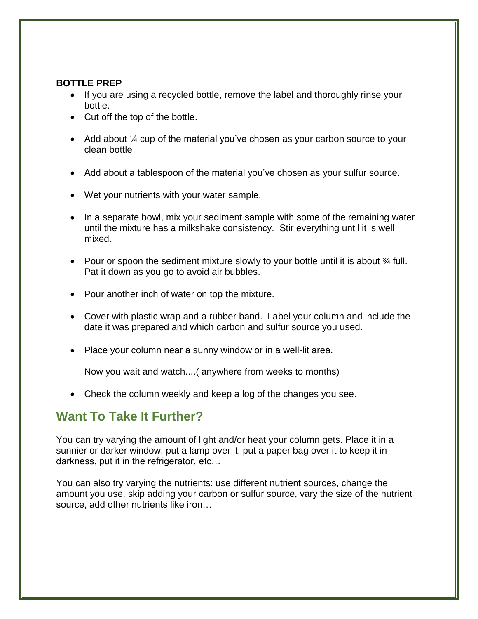## **BOTTLE PREP**

- If you are using a recycled bottle, remove the label and thoroughly rinse your bottle.
- Cut off the top of the bottle.
- Add about  $\frac{1}{4}$  cup of the material you've chosen as your carbon source to your clean bottle
- Add about a tablespoon of the material you've chosen as your sulfur source.
- Wet your nutrients with your water sample.
- In a separate bowl, mix your sediment sample with some of the remaining water until the mixture has a milkshake consistency. Stir everything until it is well mixed.
- Pour or spoon the sediment mixture slowly to your bottle until it is about  $\frac{3}{4}$  full. Pat it down as you go to avoid air bubbles.
- Pour another inch of water on top the mixture.
- Cover with plastic wrap and a rubber band. Label your column and include the date it was prepared and which carbon and sulfur source you used.
- Place your column near a sunny window or in a well-lit area.

Now you wait and watch....( anywhere from weeks to months)

Check the column weekly and keep a log of the changes you see.

## **Want To Take It Further?**

You can try varying the amount of light and/or heat your column gets. Place it in a sunnier or darker window, put a lamp over it, put a paper bag over it to keep it in darkness, put it in the refrigerator, etc…

You can also try varying the nutrients: use different nutrient sources, change the amount you use, skip adding your carbon or sulfur source, vary the size of the nutrient source, add other nutrients like iron…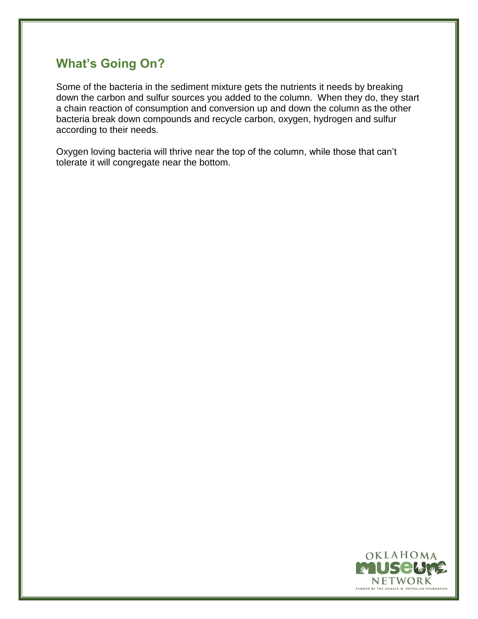# **What's Going On?**

Some of the bacteria in the sediment mixture gets the nutrients it needs by breaking down the carbon and sulfur sources you added to the column. When they do, they start a chain reaction of consumption and conversion up and down the column as the other bacteria break down compounds and recycle carbon, oxygen, hydrogen and sulfur according to their needs.

Oxygen loving bacteria will thrive near the top of the column, while those that can't tolerate it will congregate near the bottom.